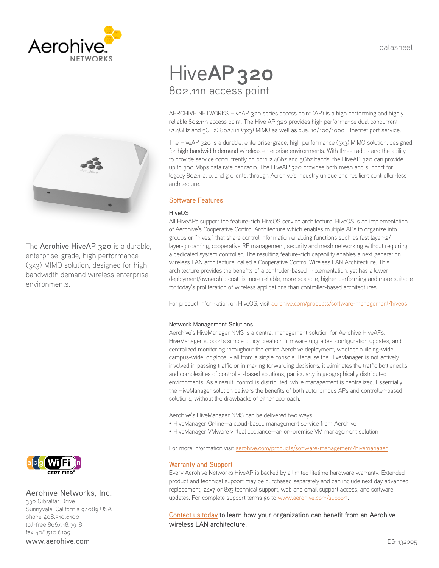datasheet





The Aerohive HiveAP 320 is a durable, enterprise-grade, high performance (3x3) MIMO solution, designed for high bandwidth demand wireless enterprise environments.

# Hive**AP 320** 802.11n access point

AEROHIVE NETWORKS HiveAP 320 series access point (AP) is a high performing and highly reliable 802.11n access point. The Hive AP 320 provides high performance dual concurrent (2.4GHz and 5GHz) 802.11n (3x3) MIMO as well as dual 10/100/1000 Ethernet port service.

The HiveAP 320 is a durable, enterprise-grade, high performance (3x3) MIMO solution, designed for high bandwidth demand wireless enterprise environments. With three radios and the ability to provide service concurrently on both 2.4Ghz and 5Ghz bands, the HiveAP 320 can provide up to 300 Mbps data rate per radio. The HiveAP 320 provides both mesh and support for legacy 802.11a, b, and g clients, through Aerohive's industry unique and resilient controller-less architecture.

# Software Features

# HiveOS

All HiveAPs support the feature-rich HiveOS service architecture. HiveOS is an implementation of Aerohive's Cooperative Control Architecture which enables multiple APs to organize into groups or "hives," that share control information enabling functions such as fast layer-2/ layer-3 roaming, cooperative RF management, security and mesh networking without requiring a dedicated system controller. The resulting feature-rich capability enables a next generation wireless LAN architecture, called a Cooperative Control Wireless LAN Architecture. This architecture provides the benefits of a controller-based implementation, yet has a lower deployment/ownership cost, is more reliable, more scalable, higher performing and more suitable for today's proliferation of wireless applications than controller-based architectures.

For product information on HiveOS, visit [aerohive.com/products/software-management/hiveos](http://www.aerohive.com/products/software-management/hiveos)

# Network Management Solutions

Aerohive's HiveManager NMS is a central management solution for Aerohive HiveAPs. HiveManager supports simple policy creation, firmware upgrades, configuration updates, and centralized monitoring throughout the entire Aerohive deployment, whether building-wide, campus-wide, or global - all from a single console. Because the HiveManager is not actively involved in passing traffic or in making forwarding decisions, it eliminates the traffic bottlenecks and complexities of controller-based solutions, particularly in geographically distributed environments. As a result, control is distributed, while management is centralized. Essentially, the HiveManager solution delivers the benefits of both autonomous APs and controller-based solutions, without the drawbacks of either approach.

Aerohive's HiveManager NMS can be delivered two ways:

- HiveManager Online—a cloud-based management service from Aerohive
- HiveManager VMware virtual appliance—an on-premise VM management solution

For more information visit [aerohive.com/products/software-management/hivemanager](http://www.aerohive.com/products/software-management/hivemanager)

# Warranty and Support

Every Aerohive Networks HiveAP is backed by a limited lifetime hardware warranty. Extended product and technical support may be purchased separately and can include next day advanced replacement, 24x7 or 8x5 technical support, web and email support access, and software updates. For complete support terms go to [www.aerohive.com/support](http://www.aerohive.com/support).

[Contact us today](http://www.aerohive.com/contact-us/) to learn how your organization can benefit from an Aerohive wireless LAN architecture.



# Aerohive Networks, Inc.

330 Gibraltar Drive Sunnyvale, California 94089 USA phone 408.510.6100 toll-free 866.918.9918 fax 408.510.6199 www.aerohive.com